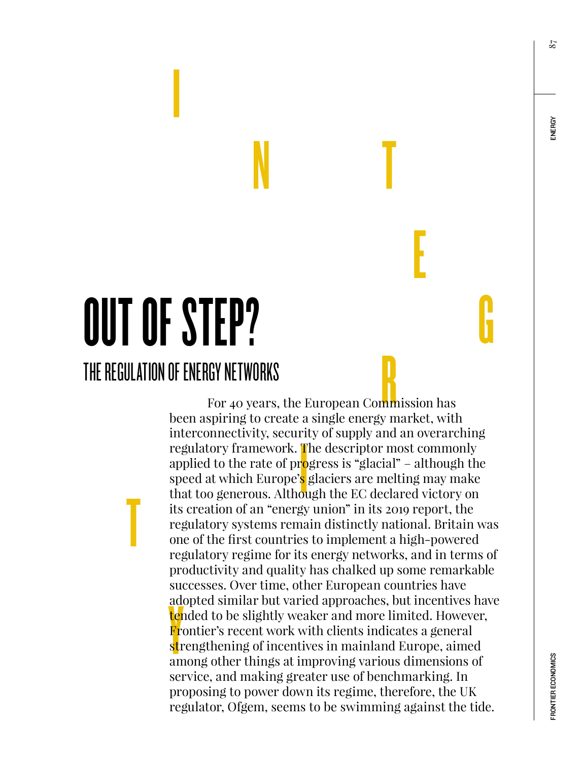87

# OUT OF STEP? THE REGULATION OF ENERGY NETWORKS

T

**International Contract** 

EV NETWORKS<br>For 40 years, the European Commission has  $\frac{1}{10}$  o s or add<br><mark>ter</mark><br>Fre<br>str<br>am been aspiring to create a single energy market, with interconnectivity, security of supply and an overarching regulatory framework. The descriptor most commonly applied to the rate of progress is "glacial" – although the speed at which Europe's glaciers are melting may make that too generous. Although the EC declared victory on its creation of an "energy union" in its 2019 report, the regulatory systems remain distinctly national. Britain was one of the first countries to implement a high-powered regulatory regime for its energy networks, and in terms of productivity and quality has chalked up some remarkable successes. Over time, other European countries have adopted similar but varied approaches, but incentives have tended to be slightly weaker and more limited. However, Frontier's recent work with clients indicates a general strengthening of incentives in mainland Europe, aimed among other things at improving various dimensions of service, and making greater use of benchmarking. In proposing to power down its regime, therefore, the UK regulator, Ofgem, seems to be swimming against the tide.

N T

E

G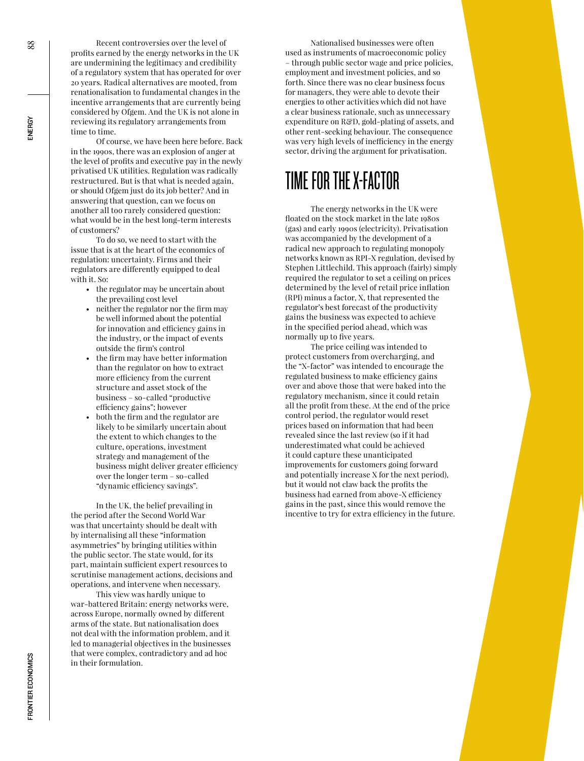Recent controversies over the level of profits earned by the energy networks in the UK are undermining the legitimacy and credibility of a regulatory system that has operated for over 20 years. Radical alternatives are mooted, from renationalisation to fundamental changes in the incentive arrangements that are currently being considered by Ofgem. And the UK is not alone in reviewing its regulatory arrangements from time to time.

Of course, we have been here before. Back in the 1990s, there was an explosion of anger at the level of profits and executive pay in the newly privatised UK utilities. Regulation was radically restructured. But is that what is needed again, or should Ofgem just do its job better? And in answering that question, can we focus on another all too rarely considered question: what would be in the best long-term interests of customers?

To do so, we need to start with the issue that is at the heart of the economics of regulation: uncertainty. Firms and their regulators are differently equipped to deal with it. So:

- the regulator may be uncertain about the prevailing cost level
- neither the regulator nor the firm may be well informed about the potential for innovation and efficiency gains in the industry, or the impact of events outside the firm's control
- the firm may have better information than the regulator on how to extract more efficiency from the current structure and asset stock of the business – so-called "productive efficiency gains"; however
- both the firm and the regulator are likely to be similarly uncertain about the extent to which changes to the culture, operations, investment strategy and management of the business might deliver greater efficiency over the longer term – so-called "dynamic efficiency savings".

In the UK, the belief prevailing in the period after the Second World War was that uncertainty should be dealt with by internalising all these "information asymmetries" by bringing utilities within the public sector. The state would, for its part, maintain sufficient expert resources to scrutinise management actions, decisions and operations, and intervene when necessary.

This view was hardly unique to war-battered Britain: energy networks were, across Europe, normally owned by different arms of the state. But nationalisation does not deal with the information problem, and it led to managerial objectives in the businesses that were complex, contradictory and ad hoc in their formulation.

Nationalised businesses were often used as instruments of macroeconomic policy – through public sector wage and price policies, employment and investment policies, and so forth. Since there was no clear business focus for managers, they were able to devote their energies to other activities which did not have a clear business rationale, such as unnecessary expenditure on R&D, gold-plating of assets, and other rent-seeking behaviour. The consequence was very high levels of inefficiency in the energy sector, driving the argument for privatisation.

#### TIME FOR THE X-FACTOR

The energy networks in the UK were floated on the stock market in the late 1980s (gas) and early 1990s (electricity). Privatisation was accompanied by the development of a radical new approach to regulating monopoly networks known as RPI-X regulation, devised by Stephen Littlechild. This approach (fairly) simply required the regulator to set a ceiling on prices determined by the level of retail price inflation (RPI) minus a factor, X, that represented the regulator's best forecast of the productivity gains the business was expected to achieve in the specified period ahead, which was normally up to five years.

The price ceiling was intended to protect customers from overcharging, and the "X-factor" was intended to encourage the regulated business to make efficiency gains over and above those that were baked into the regulatory mechanism, since it could retain all the profit from these. At the end of the price control period, the regulator would reset prices based on information that had been revealed since the last review (so if it had underestimated what could be achieved it could capture these unanticipated improvements for customers going forward and potentially increase X for the next period), but it would not claw back the profits the business had earned from above-X efficiency gains in the past, since this would remove the incentive to try for extra efficiency in the future.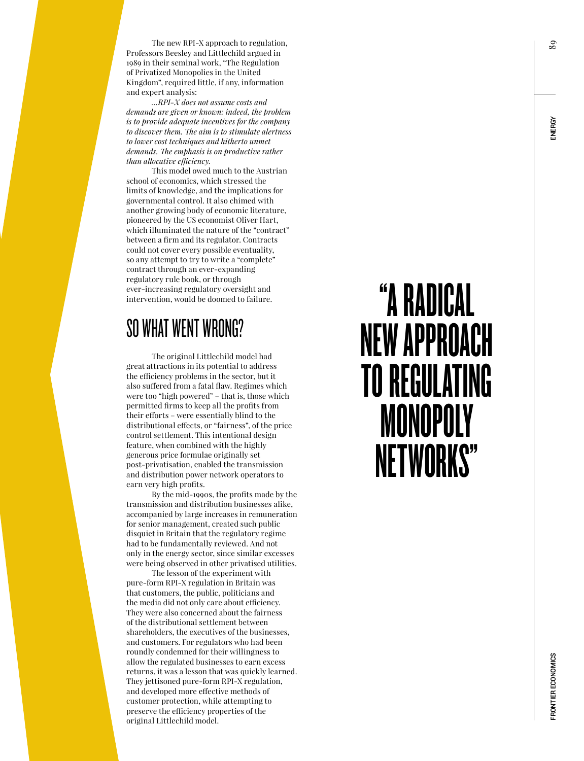The new RPI-X approach to regulation, Professors Beesley and Littlechild argued in 1989 in their seminal work, "The Regulation of Privatized Monopolies in the United Kingdom", required little, if any, information and expert analysis:

*…RPI-X does not assume costs and demands are given or known: indeed, the problem is to provide adequate incentives for the company to discover them. The aim is to stimulate alertness to lower cost techniques and hitherto unmet demands. The emphasis is on productive rather than allocative efficiency.*

This model owed much to the Austrian school of economics, which stressed the limits of knowledge, and the implications for governmental control. It also chimed with another growing body of economic literature, pioneered by the US economist Oliver Hart, which illuminated the nature of the "contract" between a firm and its regulator. Contracts could not cover every possible eventuality, so any attempt to try to write a "complete" contract through an ever-expanding regulatory rule book, or through ever-increasing regulatory oversight and intervention, would be doomed to failure.

#### SO WHAT WENT WRONG?

The original Littlechild model had great attractions in its potential to address the efficiency problems in the sector, but it also suffered from a fatal flaw. Regimes which were too "high powered" – that is, those which permitted firms to keep all the profits from their efforts – were essentially blind to the distributional effects, or "fairness", of the price control settlement. This intentional design feature, when combined with the highly generous price formulae originally set post-privatisation, enabled the transmission and distribution power network operators to earn very high profits.

By the mid-1990s, the profits made by the transmission and distribution businesses alike, accompanied by large increases in remuneration for senior management, created such public disquiet in Britain that the regulatory regime had to be fundamentally reviewed. And not only in the energy sector, since similar excesses were being observed in other privatised utilities.

The lesson of the experiment with pure-form RPI-X regulation in Britain was that customers, the public, politicians and the media did not only care about efficiency. They were also concerned about the fairness of the distributional settlement between shareholders, the executives of the businesses, and customers. For regulators who had been roundly condemned for their willingness to allow the regulated businesses to earn excess returns, it was a lesson that was quickly learned. They jettisoned pure-form RPI-X regulation, and developed more effective methods of customer protection, while attempting to preserve the efficiency properties of the original Littlechild model.

# "A RADICAL NEW APPROACH TO REGULATING **MONOPOLY** NETWORKS"

89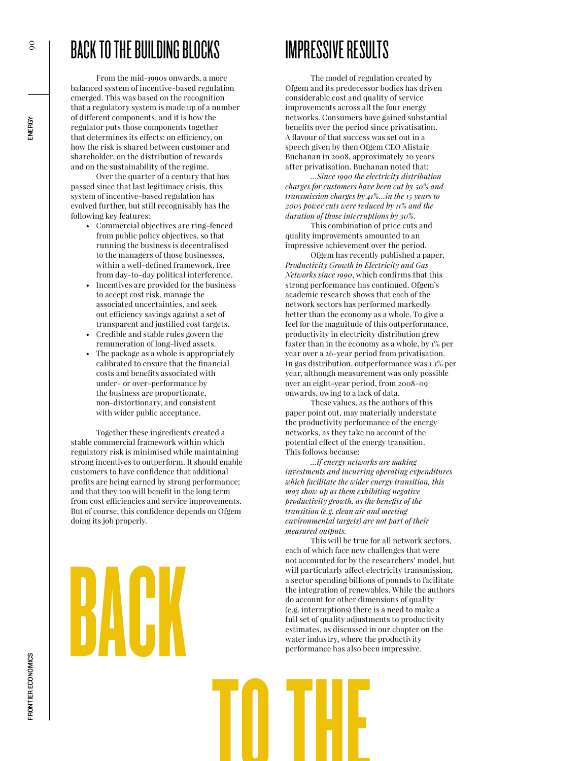## BACK TO THE BUILDING BLOCKS

From the mid-1990s onwards, a more balanced system of incentive-based regulation emerged. This was based on the recognition that a regulatory system is made up of a number of different components, and it is how the regulator puts those components together that determines its effects: on efficiency, on how the risk is shared between customer and shareholder, on the distribution of rewards and on the sustainability of the regime.

Over the quarter of a century that has passed since that last legitimacy crisis, this system of incentive-based regulation has evolved further, but still recognisably has the following key features:

- Commercial objectives are ring-fenced from public policy objectives, so that running the business is decentralised to the managers of those businesses, within a well-defined framework, free from day-to-day political interference.
- Incentives are provided for the business to accept cost risk, manage the associated uncertainties, and seek out efficiency savings against a set of transparent and justified cost targets.
- Credible and stable rules govern the remuneration of long-lived assets.
- The package as a whole is appropriately calibrated to ensure that the financial costs and benefits associated with under- or over-performance by the business are proportionate, non-distortionary, and consistent with wider public acceptance.

Together these ingredients created a stable commercial framework within which regulatory risk is minimised while maintaining strong incentives to outperform. It should enable customers to have confidence that additional profits are being earned by strong performance; and that they too will benefit in the long term from cost efficiencies and service improvements. But of course, this confidence depends on Ofgem doing its job properly.

**BACK** 

IMPRESSIVE RESULTS

The model of regulation created by Ofgem and its predecessor bodies has driven considerable cost and quality of service improvements across all the four energy networks. Consumers have gained substantial benefits over the period since privatisation. A flavour of that success was set out in a speech given by then Ofgem CEO Alistair Buchanan in 2008, approximately 20 years after privatisation. Buchanan noted that:

*…Since 1990 the electricity distribution charges for customers have been cut by 50% and transmission charges by 41%…in the 15 years to 2005 power cuts were reduced by 11% and the duration of those interruptions by 30%.* 

This combination of price cuts and quality improvements amounted to an impressive achievement over the period.

Ofgem has recently published a paper, *Productivity Growth in Electricity and Gas Networks since 1990*, which confirms that this strong performance has continued. Ofgem's academic research shows that each of the network sectors has performed markedly better than the economy as a whole. To give a feel for the magnitude of this outperformance, productivity in electricity distribution grew faster than in the economy as a whole, by 1% per year over a 26-year period from privatisation. In gas distribution, outperformance was 1.1% per year, although measurement was only possible over an eight-year period, from 2008-09 onwards, owing to a lack of data.

These values, as the authors of this paper point out, may materially understate the productivity performance of the energy networks, as they take no account of the potential effect of the energy transition. This follows because:

*…if energy networks are making investments and incurring operating expenditures which facilitate the wider energy transition, this may show up as them exhibiting negative productivity growth, as the benefits of the transition (e.g. clean air and meeting environmental targets) are not part of their measured outputs.*

This will be true for all network sectors, each of which face new challenges that were not accounted for by the researchers' model, but will particularly affect electricity transmission, a sector spending billions of pounds to facilitate the integration of renewables. While the authors do account for other dimensions of quality (e.g. interruptions) there is a need to make a full set of quality adjustments to productivity estimates, as discussed in our chapter on the water industry, where the productivity performance has also been impressive.

TO THE



**ENERGY**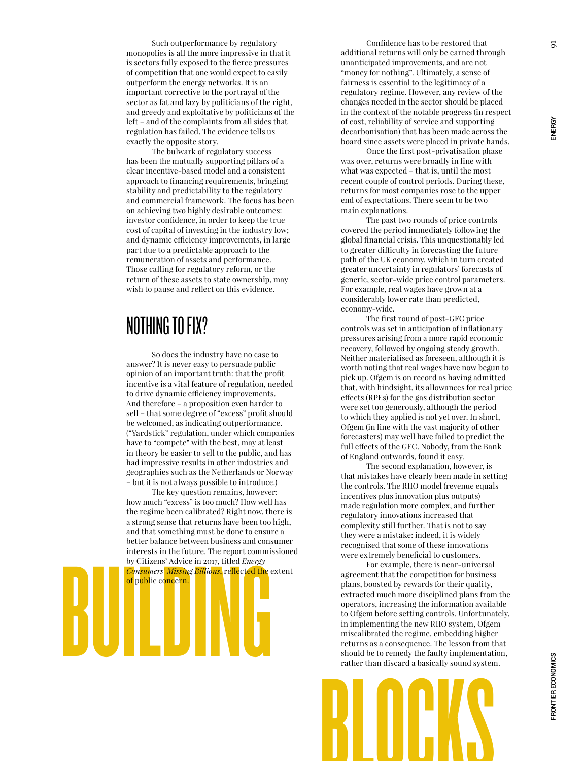Such outperformance by regulatory monopolies is all the more impressive in that it is sectors fully exposed to the fierce pressures of competition that one would expect to easily outperform the energy networks. It is an important corrective to the portrayal of the sector as fat and lazy by politicians of the right, and greedy and exploitative by politicians of the left – and of the complaints from all sides that regulation has failed. The evidence tells us exactly the opposite story.

The bulwark of regulatory success has been the mutually supporting pillars of a clear incentive-based model and a consistent approach to financing requirements, bringing stability and predictability to the regulatory and commercial framework. The focus has been on achieving two highly desirable outcomes: investor confidence, in order to keep the true cost of capital of investing in the industry low; and dynamic efficiency improvements, in large part due to a predictable approach to the remuneration of assets and performance. Those calling for regulatory reform, or the return of these assets to state ownership, may wish to pause and reflect on this evidence.

#### NOTHING TO FIX?

So does the industry have no case to answer? It is never easy to persuade public opinion of an important truth: that the profit incentive is a vital feature of regulation, needed to drive dynamic efficiency improvements. And therefore – a proposition even harder to sell – that some degree of "excess" profit should be welcomed, as indicating outperformance. ("Yardstick" regulation, under which companies have to "compete" with the best, may at least in theory be easier to sell to the public, and has had impressive results in other industries and geographies such as the Netherlands or Norway – but it is not always possible to introduce.)

interests in the future. The report commi<br>by Citizens' Advice in 2017, titled *Energy*<br>Consumers' Missing Billions, reflected the<br>of public concern.<br>Deposite on the concerner of the concerner of the concerner of the concer The key question remains, however: how much "excess" is too much? How well has the regime been calibrated? Right now, there is a strong sense that returns have been too high, and that something must be done to ensure a better balance between business and consumer interests in the future. The report commissioned by Citizens' Advice in 2017, titled *Energy Consumers' Missing Billions*, reflected the extent of public concern.

Confidence has to be restored that additional returns will only be earned through unanticipated improvements, and are not "money for nothing". Ultimately, a sense of fairness is essential to the legitimacy of a regulatory regime. However, any review of the changes needed in the sector should be placed in the context of the notable progress (in respect of cost, reliability of service and supporting decarbonisation) that has been made across the board since assets were placed in private hands.

Once the first post-privatisation phase was over, returns were broadly in line with what was expected – that is, until the most recent couple of control periods. During these, returns for most companies rose to the upper end of expectations. There seem to be two main explanations.

The past two rounds of price controls covered the period immediately following the global financial crisis. This unquestionably led to greater difficulty in forecasting the future path of the UK economy, which in turn created greater uncertainty in regulators' forecasts of generic, sector-wide price control parameters. For example, real wages have grown at a considerably lower rate than predicted, economy-wide.

The first round of post-GFC price controls was set in anticipation of inflationary pressures arising from a more rapid economic recovery, followed by ongoing steady growth. Neither materialised as foreseen, although it is worth noting that real wages have now begun to pick up. Ofgem is on record as having admitted that, with hindsight, its allowances for real price effects (RPEs) for the gas distribution sector were set too generously, although the period to which they applied is not yet over. In short, Ofgem (in line with the vast majority of other forecasters) may well have failed to predict the full effects of the GFC. Nobody, from the Bank of England outwards, found it easy.

The second explanation, however, is that mistakes have clearly been made in setting the controls. The RIIO model (revenue equals incentives plus innovation plus outputs) made regulation more complex, and further regulatory innovations increased that complexity still further. That is not to say they were a mistake: indeed, it is widely recognised that some of these innovations were extremely beneficial to customers.

For example, there is near-universal agreement that the competition for business plans, boosted by rewards for their quality, extracted much more disciplined plans from the operators, increasing the information available to Ofgem before setting controls. Unfortunately, in implementing the new RIIO system, Ofgem miscalibrated the regime, embedding higher returns as a consequence. The lesson from that should be to remedy the faulty implementation, rather than discard a basically sound system.



91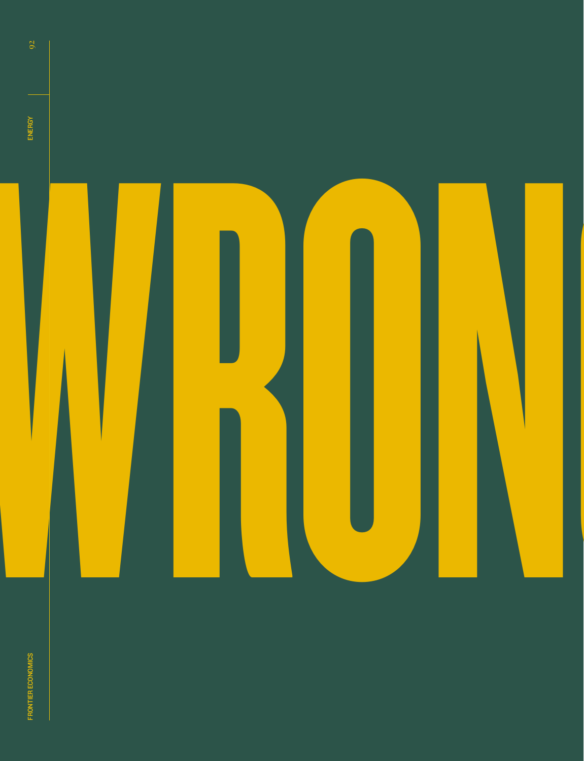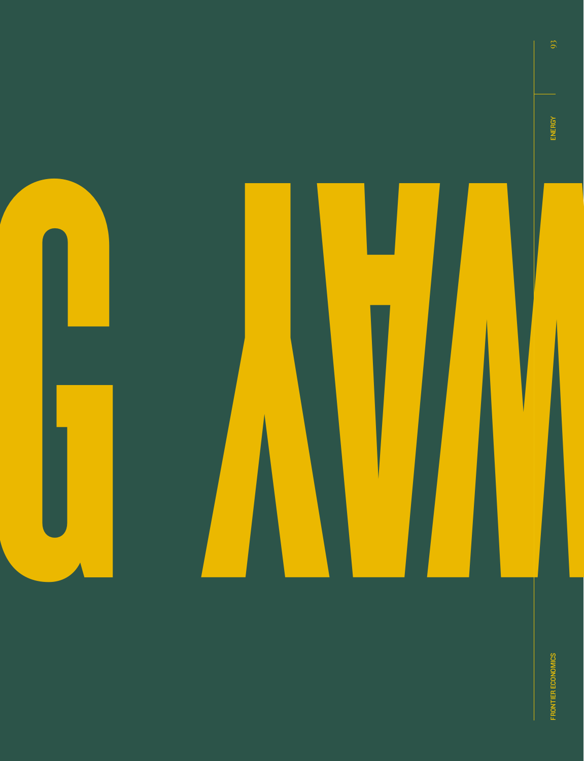